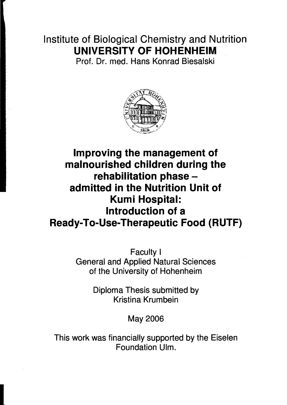# Institute of Biological Chemistry and Nutrition **UNIVERSITY OF HOHENHEIM**

Prof. Dr. med. Hans Konrad Biesalski



# **Improving the management of malnourished children during the rehabilitation phase admitted in the Nutrition Unit of Kumi Hospital: Introduction of a Ready-To-Use-Therapeutic Food (RUTF)**

Faculty I General and Applied Natural Sciences of the University of Hohenheim

> Diploma Thesis submitted by Kristina Krumbein

> > May 2006

This work was financially supported by the Eiselen Foundation Ulm.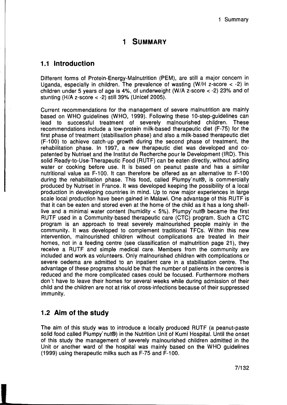## **1 SUMMARY**

## 1.1 **Introduction**

Different forms *ot* Protein-Energy-Malnutrition (PEM), are still a major cancern in Uganda, especially in children. The prevalence *ot* wasting (W/H z-score < -2) in children under 5 years ot age is 4%, ot underweight (W/A z-score < -2) 23% and of stunting (H/A z-score < -2) still 39% (Unicef 2005).

Current recommendations tor the management ot severe malnutrition are mainly based on WHO guidelines (WHO, 1999). Following these 10-step-guidelines can lead to successtul treatment *ot* severely malnourished children. These recommendations include a low-protein milk-based therapeutic diet (F-75) tor the first phase *ot* treatment (stabilisation phase) and also a milk-based therapeutic diet (F-100) to achieve catch-up growth during the second phase ot treatment, the rehabilitation phase. In 1997, a new therapeutic diet was developed and copatented by Nutriset and the Institut de Recherche pour le Development (IRD). This solid Ready-to-Use-Therapeutic Food (RUTF) can be eaten directly, without adding water or cooking before use. It is based on peanut paste and has a similar nutritional value as F-100. It can therefore be affered as an alternative to F-100 during the rehabilitation phase. This food, called Plumpy'nut®, is commercially produced by Nutriset in France. It was developed keeping the possibility of a local production in developing countries in mind. Up to now major experiences in large scale local production have been gained in Malawi. One advantage of this RUTF is that it can be eaten and stored even at the home of the child as it has a long shelflive and a minimal water content (humidity  $<$  5%). Plumpy'nut® became the first RUTF used in a Community-based therapeutic care (CTC) program. Such a CTC program is an approach to treat severely malnourished people mainly in the community. It was developed to complement traditional TFCs. Within this new intervention, malnourished children without complications are treated in their hornes, not in a teeding centre (see classitication *ot* malnutrition page 21), they receive a RUTF and simple medical care. Members *tram* the community are included and work as volunteers. Only malnourished children with complications or severe oedema are admitted to an inpatient care in a stabilisation centre. The advantage of these programs should be that the number of patients in the centres is reduced and the more complicated cases could be focused. Furthermore mothers don't have to leave their hornes for several weeks while during admission of their child and the children are not at risk of cross-infections because of their suppressed immunity.

## 1.2 **Aim 01 the study**

The aim of this study was to introduce a locally produced RUTF (a peanut-paste solid food called Plumpy'nut®) in the Nutrition Unit of Kumi Hospital. Until the onset of this study the management of severely malnourished children admitted in the Unit or another ward of the hospital was mainly based on the WHO guidelines (1999) using therapeutic milks such as F-75 and F-100.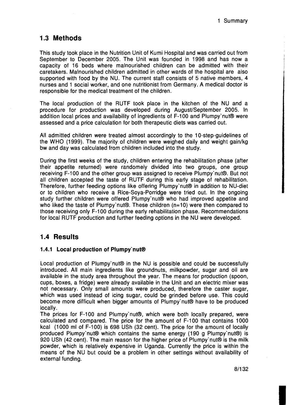### **1.3 Methods**

This study took place in the Nutrition Unit of Kumi Hospital and was carried out from September to December 2005. The Unit was founded in 1998 and has now a capacity of 16 beds where malnourished children can be admitted with their caretakers. Malnourished children admitted in other wards of the hospital are also supported with food by the NU. The current staff consists of 5 native members, 4 nurses and 1 social worker, and one nutritionist from Germany. A medical doctor is responsible for the medical treatment of the children.

The local production of the RUTF took place in the kitchen of the NU and a procedure for production was developed during August/September 2005. In addition local prices and availability of ingredients of F-100 and Plumpy'nut® were assessed and a price calculation for both therapeutic diets was carried out.

All admitted children were treated almost accordingly to the 10-step-guidelines of the WHO (1999). The majority of children were weighed daily and weight gain/kg bw and day was calculated from children included into the study.

During the first weeks of the study, children entering the rehabilitation phase (after their appetite returned) were randomely divided into two groups, one group receiving F-100 and the other group was assigned to receive Plumpy'nut®. But not all children accepted the taste of RUTF during this early stage of rehabilitation. Theretore, further feeding options like offering Plumpy'nut® in addition to NU-diet or to children who receive a Rice-Soya-Porridge were tried out. In the ongoing study further children were offered Plumpy'nut® who had improved appetite and who liked the taste of Plumpy'nut®. These children (n=10) were then compared to those receiving only F-100 during the early rehabilitation phase. Recommendations tor local RUTF production and further feeding options in the NU were developed.

### **1.4 Results**

#### 1.4.1 **Local production of Plumpy'nut®**

Local production of Plumpy'nut® in the NU is possible and could be successfully introduced. All main ingredients like groundnuts, milkpowder, sugar and oil are available in the study area throughout the year. The means for production (spoon, cups, boxes, a fridge) were already available in the Unit and an electric mixer was not necessary. Only small amounts were produced, therefore the caster sugar, which was used instead of icing sugar, could be grinded before use. This could become more difficult when bigger amounts of Plumpy'nut® have to be produced locally.

The prices for F-100 and Plumpy'nut®, which were both locally prepared, were calculated and compared. The price for the amount of F-100 that contains 1000 kcal (1000 ml of F-100) is 698 USh (32 cent). The price for the amount of locally produced Plumpy'nut® which contains the same energy (190 g Plumpy'nut®) is 920 USh (42 cent). The main reason for the higher price of Plumpy'nut® is the milk powder, which is relatively expensive in Uganda. Currently the price is within the means of the NU but could be a problem in other settings without availability of external funding.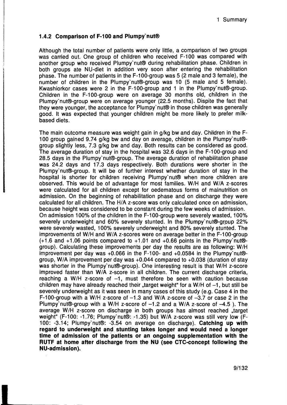#### 1.4.2 Comparison of F-100 and Plumpy'nut®

Although the total number of patients were only little, a comparison of two groups was carried out. One group of children who received F-100 was compared with another group who received Plumpy'nut® during rehabilitation phase. Children in both groups ate NU-diet in addition very soon after entering the rehabilitation phase. The number of patients in the F-100-group was 5 (2 male and 3 female), the number of children in the Plumpy'nut®-group was 10 (5 male and 5 female). Kwashiorkor cases were 2 in the F-100-group and 1 in the Plumpy'nut®-group. Children in the F-100-group were on average 30 months old, children in the Plumpy'nut®-group were on average younger (22.5 months). Dispite the fact that they were younger, the acceptance for Plumpy'nut® in those children was generally good. It was expected that younger children might be more likely to prefer milkbased diets.

The main outcome measure was weight gain in g/kg bw and day. Children in the F-100 group gained 9.74 g/kg bw and day on average, children in the Plumpy'nut® group slightly less, 7.3 g/kg bw and day. 80th results can be considered as good. The average duration of stay in the hospital was 32.6 days in the F-100-group and 28.5 days in the Plumpy'nut®-group. The average duration ot rehabilitation phase was 24.2 days and 17.3 days respectively. Both durations were shorter in the Plumpy'nut®-group. It will be of further interest whether duration of stay in the hospital is shorter for children receiving Plumpy'nut<sup>®</sup> when more children are observed. This would be of advantage tor most families. W/H and W/A z-scores were calculated for all children except for oedematous forms of malnutrition on admission. On the beginning of rehabilitation phase and on discharge they were calculated for all children. The H/A z-score was only calculated once on admission, because height was considered to be constant during the few weeks *ot* admission. On admission 100% *ot* the children in the F-100-group were severely wasted, 100% severely underweight and 60% severely stunted. In the Plumpy'nut®-group 22% were severely wasted, 100% severely underweight and 80% severely stunted. The improvements *ot* W/H and W/A z-scores were on average better in the F-100-group  $(+1.6$  and  $+1.06$  points compared to  $+1.01$  and  $+0.66$  points in the Plumpy'nut  $\omega$ group). Calculating these improvements per day the results are as following: W/H improvement per day was +0.066 in the F-100- and +0.0584 in the Plumpy'nut® group, W/A improvement per day was +0.044 compared to +0.038 (duration of stay was shorter in the Plumpy'nut®-group). One interesting result is that W/H z-score improved faster than W/A z-score in all children. The current discharge criteria, reaching a W/H z-score of  $-1$ , must therefore be seen with caution because children may have already reached their  $\mu$ target weight" for a W/H of  $-1$ , but still be severely underweight as it was seen in many cases of this study (e.g. Case 4 in the F-100-group with a W/H z-score of  $-1.3$  and W/A z-score of  $-3.7$  or case 2 in the Plumpy'nut®-group with a W/H z-score of  $-1.2$  and a W/A z-score of  $-4.5$  ). The average W/H z-score on discharge in both groups has almost reached "target weight" (F-100: -1.76; Plumpy`nut®: -1.35) but W/A z-score was still very low (F-100: -3.14; Plumpy'nut®: -3.54 on average on discharge). Catchlng up with regard to underweight and stunting takes longer and would need a longer time of admission of the patients or an ongoing supplementation with the RUTF at home after discharge from the NU (see CTC-concept following the NU-ad mission).